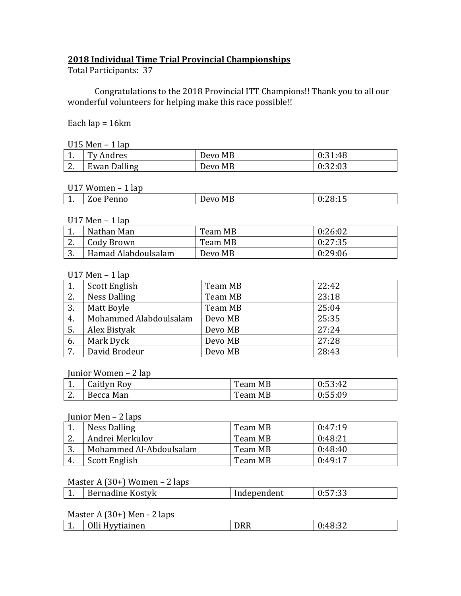### **2018 Individual Time Trial Provincial Championships**

Total Participants: 37

Congratulations to the 2018 Provincial ITT Champions!! Thank you to all our wonderful volunteers for helping make this race possible!!

#### Each lap = 16km

| $U15$ Men - 1 lap |  |  |  |
|-------------------|--|--|--|
|-------------------|--|--|--|

| ULU PRUM<br>200 |                     |         |         |
|-----------------|---------------------|---------|---------|
| <b>.</b>        | Ty Andres           | Devo MB | 0:31:48 |
| <u>.</u>        | <b>Ewan Dalling</b> | Devo MB | 0:32:03 |

#### U17 Women – 1 lap

| M<br>$\sim$ $\sim$ $\sim$<br>$\sqrt{2}$ | ມບບ<br><b>.</b> | enno<br>. L. L. I<br><u>.</u> | MD<br>$\mathbf{v}$ $\mathbf{v}$ $\mathbf{v}$ | , |
|-----------------------------------------|-----------------|-------------------------------|----------------------------------------------|---|
|                                         |                 |                               |                                              |   |

### U17 Men – 1 lap

|          | Nathan Man          | Team MB | 0:26:02 |
|----------|---------------------|---------|---------|
| <u>.</u> | Cody Brown          | Team MB | 0:27:35 |
| ີ        | Hamad Alabdoulsalam | Devo MB | 0:29:06 |

#### U17 Men – 1 lap

|    | Scott English          | Team MB | 22:42 |
|----|------------------------|---------|-------|
| 2. | <b>Ness Dalling</b>    | Team MB | 23:18 |
| 3. | Matt Boyle             | Team MB | 25:04 |
| 4. | Mohammed Alabdoulsalam | Devo MB | 25:35 |
| 5. | Alex Bistyak           | Devo MB | 27:24 |
| 6. | Mark Dyck              | Devo MB | 27:28 |
| 7. | David Brodeur          | Devo MB | 28:43 |

#### Junior Women – 2 lap

| <b>. .</b> | Caitlyn Roy | Team MB | 0:53:42 |
|------------|-------------|---------|---------|
| <u>.</u>   | Becca Man   | Team MB | 0:55:09 |

#### Junior Men – 2 laps

| . . | Ness Dalling            | Team MB | 0:47:19 |
|-----|-------------------------|---------|---------|
|     | Andrei Merkulov         | Team MB | 0:48:21 |
| ⌒   | Mohammed Al-Abdoulsalam | Team MB | 0:48:40 |
|     | Scott English           | Team MB | 0.49:17 |

# Master A (30+) Women – 2 laps

| <b>.</b> | Bernadine Kostyk | Independent | . . L<br>ں س<br><b>v.v</b> |
|----------|------------------|-------------|----------------------------|
|          |                  |             |                            |

# Master A (30+) Men - 2 laps

| Olli Hyytiainen<br>$\sim$<br>∙48∙<br>ے ں ر<br><b>.</b> |  |
|--------------------------------------------------------|--|
|--------------------------------------------------------|--|